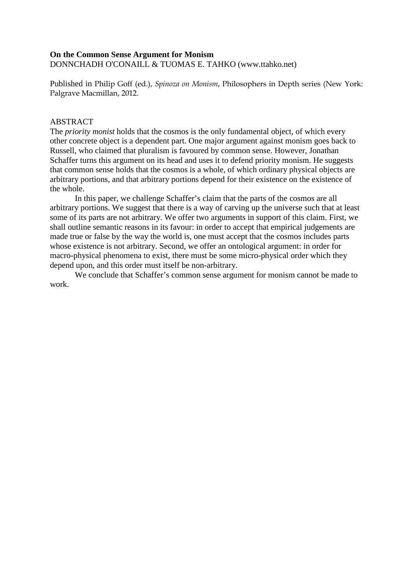# **On the Common Sense Argument for Monism** DONNCHADH O'CONAILL & TUOMAS E. TAHKO (www.ttahko.net)

Published in Philip Goff (ed.), *Spinoza on Monism*, Philosophers in Depth series (New York: Palgrave Macmillan, 2012.

# ABSTRACT

The *priority monist* holds that the cosmos is the only fundamental object, of which every other concrete object is a dependent part. One major argument against monism goes back to Russell, who claimed that pluralism is favoured by common sense. However, Jonathan Schaffer turns this argument on its head and uses it to defend priority monism. He suggests that common sense holds that the cosmos is a whole, of which ordinary physical objects are arbitrary portions, and that arbitrary portions depend for their existence on the existence of the whole.

In this paper, we challenge Schaffer's claim that the parts of the cosmos are all arbitrary portions. We suggest that there is a way of carving up the universe such that at least some of its parts are not arbitrary. We offer two arguments in support of this claim. First, we shall outline semantic reasons in its favour: in order to accept that empirical judgements are made true or false by the way the world is, one must accept that the cosmos includes parts whose existence is not arbitrary. Second, we offer an ontological argument: in order for macro-physical phenomena to exist, there must be some micro-physical order which they depend upon, and this order must itself be non-arbitrary.

We conclude that Schaffer's common sense argument for monism cannot be made to work.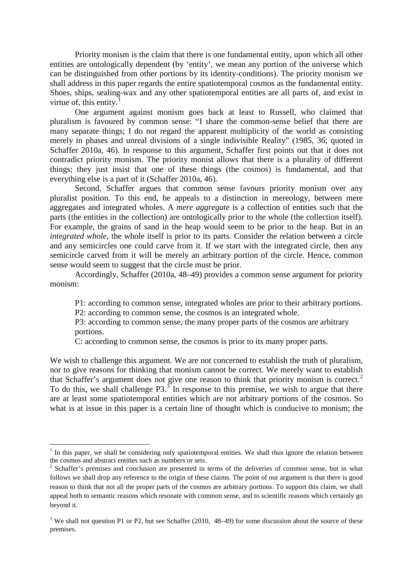Priority monism is the claim that there is one fundamental entity, upon which all other entities are ontologically dependent (by 'entity', we mean any portion of the universe which can be distinguished from other portions by its identity-conditions). The priority monism we shall address in this paper regards the entire spatiotemporal cosmos as the fundamental entity. Shoes, ships, sealing-wax and any other spatiotemporal entities are all parts of, and exist in virtue of, this entity.

One argument against monism goes back at least to Russell, who claimed that pluralism is favoured by common sense: "I share the common-sense belief that there are many separate things; I do not regard the apparent multiplicity of the world as consisting merely in phases and unreal divisions of a single indivisible Reality" (1985, 36; quoted in Schaffer 2010a, 46). In response to this argument, Schaffer first points out that it does not contradict priority monism. The priority monist allows that there is a plurality of different things; they just insist that one of these things (the cosmos) is fundamental, and that everything else is a part of it (Schaffer 2010a, 46).

Second, Schaffer argues that common sense favours priority monism over any pluralist position. To this end, he appeals to a distinction in mereology, between mere aggregates and integrated wholes. A *mere aggregate* is a collection of entities such that the parts (the entities in the collection) are ontologically prior to the whole (the collection itself). For example, the grains of sand in the heap would seem to be prior to the heap. But in an *integrated whole*, the whole itself is prior to its parts. Consider the relation between a circle and any semicircles one could carve from it. If we start with the integrated circle, then any semicircle carved from it will be merely an arbitrary portion of the circle. Hence, common sense would seem to suggest that the circle must be prior.

Accordingly, Schaffer (2010a, 48–49) provides a common sense argument for priority monism:

P1: according to common sense, integrated wholes are prior to their arbitrary portions. P2: according to common sense, the cosmos is an integrated whole.

P3: according to common sense, the many proper parts of the cosmos are arbitrary portions.

C: according to common sense, the cosmos is prior to its many proper parts.

We wish to challenge this argument. We are not concerned to establish the truth of pluralism, nor to give reasons for thinking that monism cannot be correct. We merely want to establish that Schaffer's argument does not give one reason to think that priority monism is correct.<sup>[2](#page-1-1)</sup> To do this, we shall challenge  $P3$  $P3$ <sup>3</sup>. In response to this premise, we wish to argue that there are at least some spatiotemporal entities which are not arbitrary portions of the cosmos. So what is at issue in this paper is a certain line of thought which is conducive to monism; the

<span id="page-1-0"></span> $1$  In this paper, we shall be considering only spatiotemporal entities. We shall thus ignore the relation between the cosmos and abstract entities such as numbers or sets.

<span id="page-1-1"></span> $2$  Schaffer's premises and conclusion are presented in terms of the deliveries of common sense, but in what follows we shall drop any reference to the origin of these claims. The point of our argument is that there is good reason to think that not all the proper parts of the cosmos are arbitrary portions. To support this claim, we shall appeal both to semantic reasons which resonate with common sense, and to scientific reasons which certainly go beyond it.

<span id="page-1-2"></span><sup>&</sup>lt;sup>3</sup> We shall not question P1 or P2, but see Schaffer (2010, 48–49) for some discussion about the source of these premises.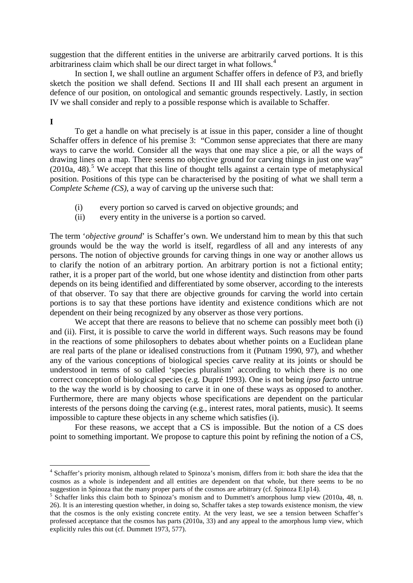suggestion that the different entities in the universe are arbitrarily carved portions. It is this arbitrariness claim which shall be our direct target in what follows.[4](#page-2-0)

In section I, we shall outline an argument Schaffer offers in defence of P3, and briefly sketch the position we shall defend. Sections II and III shall each present an argument in defence of our position, on ontological and semantic grounds respectively. Lastly, in section IV we shall consider and reply to a possible response which is available to Schaffer.

#### **I**

To get a handle on what precisely is at issue in this paper, consider a line of thought Schaffer offers in defence of his premise 3: "Common sense appreciates that there are many ways to carve the world. Consider all the ways that one may slice a pie, or all the ways of drawing lines on a map. There seems no objective ground for carving things in just one way"  $(2010a, 48)$ .<sup>[5](#page-2-1)</sup> We accept that this line of thought tells against a certain type of metaphysical position. Positions of this type can be characterised by the positing of what we shall term a *Complete Scheme (CS)*, a way of carving up the universe such that:

- (i) every portion so carved is carved on objective grounds; and
- (ii) every entity in the universe is a portion so carved.

The term '*objective ground*' is Schaffer's own. We understand him to mean by this that such grounds would be the way the world is itself, regardless of all and any interests of any persons. The notion of objective grounds for carving things in one way or another allows us to clarify the notion of an arbitrary portion. An arbitrary portion is not a fictional entity; rather, it is a proper part of the world, but one whose identity and distinction from other parts depends on its being identified and differentiated by some observer, according to the interests of that observer. To say that there are objective grounds for carving the world into certain portions is to say that these portions have identity and existence conditions which are not dependent on their being recognized by any observer as those very portions.

We accept that there are reasons to believe that no scheme can possibly meet both (i) and (ii). First, it is possible to carve the world in different ways. Such reasons may be found in the reactions of some philosophers to debates about whether points on a Euclidean plane are real parts of the plane or idealised constructions from it (Putnam 1990, 97), and whether any of the various conceptions of biological species carve reality at its joints or should be understood in terms of so called 'species pluralism' according to which there is no one correct conception of biological species (e.g. Dupré 1993). One is not being *ipso facto* untrue to the way the world is by choosing to carve it in one of these ways as opposed to another. Furthermore, there are many objects whose specifications are dependent on the particular interests of the persons doing the carving (e.g., interest rates, moral patients, music). It seems impossible to capture these objects in any scheme which satisfies (i).

For these reasons, we accept that a CS is impossible. But the notion of a CS does point to something important. We propose to capture this point by refining the notion of a CS,

<span id="page-2-0"></span><sup>&</sup>lt;sup>4</sup> Schaffer's priority monism, although related to Spinoza's monism, differs from it: both share the idea that the cosmos as a whole is independent and all entities are dependent on that whole, but there seems to be no suggestion in Spinoza that the many proper parts of the cosmos are arbitrary (cf. Spinoza E1p14).

<span id="page-2-1"></span><sup>&</sup>lt;sup>5</sup> Schaffer links this claim both to Spinoza's monism and to Dummett's amorphous lump view (2010a, 48, n. 26). It is an interesting question whether, in doing so, Schaffer takes a step towards existence monism, the view that the cosmos is the only existing concrete entity. At the very least, we see a tension between Schaffer's professed acceptance that the cosmos has parts (2010a, 33) and any appeal to the amorphous lump view, which explicitly rules this out (cf. Dummett 1973, 577).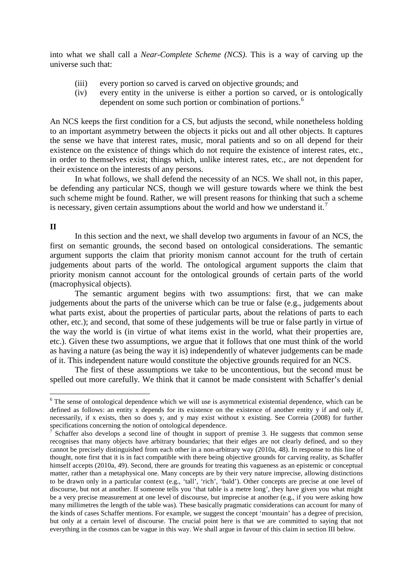into what we shall call a *Near-Complete Scheme (NCS)*. This is a way of carving up the universe such that:

- (iii) every portion so carved is carved on objective grounds; and
- (iv) every entity in the universe is either a portion so carved, or is ontologically dependent on some such portion or combination of portions.<sup>[6](#page-3-0)</sup>

An NCS keeps the first condition for a CS, but adjusts the second, while nonetheless holding to an important asymmetry between the objects it picks out and all other objects. It captures the sense we have that interest rates, music, moral patients and so on all depend for their existence on the existence of things which do not require the existence of interest rates, etc., in order to themselves exist; things which, unlike interest rates, etc., are not dependent for their existence on the interests of any persons.

In what follows, we shall defend the necessity of an NCS. We shall not, in this paper, be defending any particular NCS, though we will gesture towards where we think the best such scheme might be found. Rather, we will present reasons for thinking that such a scheme is necessary, given certain assumptions about the world and how we understand it.<sup>[7](#page-3-1)</sup>

# **II**

In this section and the next, we shall develop two arguments in favour of an NCS, the first on semantic grounds, the second based on ontological considerations. The semantic argument supports the claim that priority monism cannot account for the truth of certain judgements about parts of the world. The ontological argument supports the claim that priority monism cannot account for the ontological grounds of certain parts of the world (macrophysical objects).

The semantic argument begins with two assumptions: first, that we can make judgements about the parts of the universe which can be true or false (e.g., judgements about what parts exist, about the properties of particular parts, about the relations of parts to each other, etc.); and second, that some of these judgements will be true or false partly in virtue of the way the world is (in virtue of what items exist in the world, what their properties are, etc.). Given these two assumptions, we argue that it follows that one must think of the world as having a nature (as being the way it is) independently of whatever judgements can be made of it. This independent nature would constitute the objective grounds required for an NCS.

The first of these assumptions we take to be uncontentious, but the second must be spelled out more carefully. We think that it cannot be made consistent with Schaffer's denial

<span id="page-3-0"></span><sup>&</sup>lt;sup>6</sup> The sense of ontological dependence which we will use is asymmetrical existential dependence, which can be defined as follows: an entity x depends for its existence on the existence of another entity y if and only if, necessarily, if x exists, then so does y, and y may exist without x existing. See Correia (2008) for further specifications concerning the notion of ontological dependence.

<span id="page-3-1"></span>Schaffer also develops a second line of thought in support of premise 3. He suggests that common sense recognises that many objects have arbitrary boundaries; that their edges are not clearly defined, and so they cannot be precisely distinguished from each other in a non-arbitrary way (2010a, 48). In response to this line of thought, note first that it is in fact compatible with there being objective grounds for carving reality, as Schaffer himself accepts (2010a, 49). Second, there are grounds for treating this vagueness as an epistemic or conceptual matter, rather than a metaphysical one. Many concepts are by their very nature imprecise, allowing distinctions to be drawn only in a particular context (e.g., 'tall', 'rich', 'bald'). Other concepts are precise at one level of discourse, but not at another. If someone tells you 'that table is a metre long', they have given you what might be a very precise measurement at one level of discourse, but imprecise at another (e.g., if you were asking how many millimetres the length of the table was). These basically pragmatic considerations can account for many of the kinds of cases Schaffer mentions. For example, we suggest the concept 'mountain' has a degree of precision, but only at a certain level of discourse. The crucial point here is that we are committed to saying that not everything in the cosmos can be vague in this way. We shall argue in favour of this claim in section III below.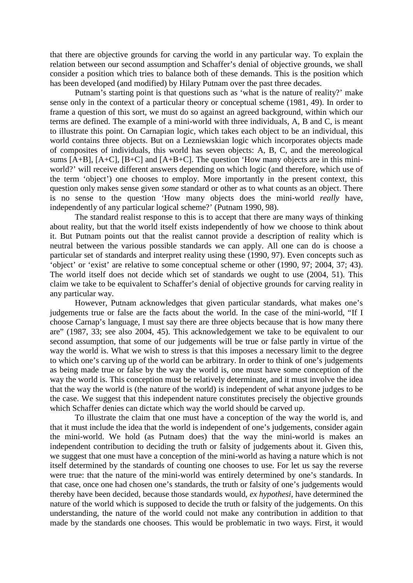that there are objective grounds for carving the world in any particular way. To explain the relation between our second assumption and Schaffer's denial of objective grounds, we shall consider a position which tries to balance both of these demands. This is the position which has been developed (and modified) by Hilary Putnam over the past three decades.

Putnam's starting point is that questions such as 'what is the nature of reality?' make sense only in the context of a particular theory or conceptual scheme (1981, 49). In order to frame a question of this sort, we must do so against an agreed background, within which our terms are defined. The example of a mini-world with three individuals, A, B and C, is meant to illustrate this point. On Carnapian logic, which takes each object to be an individual, this world contains three objects. But on a Lezniewskian logic which incorporates objects made of composites of individuals, this world has seven objects: A, B, C, and the mereological sums  $[A+B]$ ,  $[A+C]$ ,  $[B+C]$  and  $[A+B+C]$ . The question 'How many objects are in this miniworld?' will receive different answers depending on which logic (and therefore, which use of the term 'object') one chooses to employ. More importantly in the present context, this question only makes sense given *some* standard or other as to what counts as an object. There is no sense to the question 'How many objects does the mini-world *really* have, independently of any particular logical scheme?' (Putnam 1990, 98).

The standard realist response to this is to accept that there are many ways of thinking about reality, but that the world itself exists independently of how we choose to think about it. But Putnam points out that the realist cannot provide a description of reality which is neutral between the various possible standards we can apply. All one can do is choose a particular set of standards and interpret reality using these (1990, 97). Even concepts such as 'object' or 'exist' are relative to some conceptual scheme or other (1990, 97; 2004, 37; 43). The world itself does not decide which set of standards we ought to use (2004, 51). This claim we take to be equivalent to Schaffer's denial of objective grounds for carving reality in any particular way.

However, Putnam acknowledges that given particular standards, what makes one's judgements true or false are the facts about the world. In the case of the mini-world, "If I choose Carnap's language, I must say there are three objects because that is how many there are" (1987, 33; see also 2004, 45). This acknowledgement we take to be equivalent to our second assumption, that some of our judgements will be true or false partly in virtue of the way the world is. What we wish to stress is that this imposes a necessary limit to the degree to which one's carving up of the world can be arbitrary. In order to think of one's judgements as being made true or false by the way the world is, one must have some conception of the way the world is. This conception must be relatively determinate, and it must involve the idea that the way the world is (the nature of the world) is independent of what anyone judges to be the case. We suggest that this independent nature constitutes precisely the objective grounds which Schaffer denies can dictate which way the world should be carved up.

To illustrate the claim that one must have a conception of the way the world is, and that it must include the idea that the world is independent of one's judgements, consider again the mini-world. We hold (as Putnam does) that the way the mini-world is makes an independent contribution to deciding the truth or falsity of judgements about it. Given this, we suggest that one must have a conception of the mini-world as having a nature which is not itself determined by the standards of counting one chooses to use. For let us say the reverse were true: that the nature of the mini-world was entirely determined by one's standards. In that case, once one had chosen one's standards, the truth or falsity of one's judgements would thereby have been decided, because those standards would, *ex hypothesi*, have determined the nature of the world which is supposed to decide the truth or falsity of the judgements. On this understanding, the nature of the world could not make any contribution in addition to that made by the standards one chooses. This would be problematic in two ways. First, it would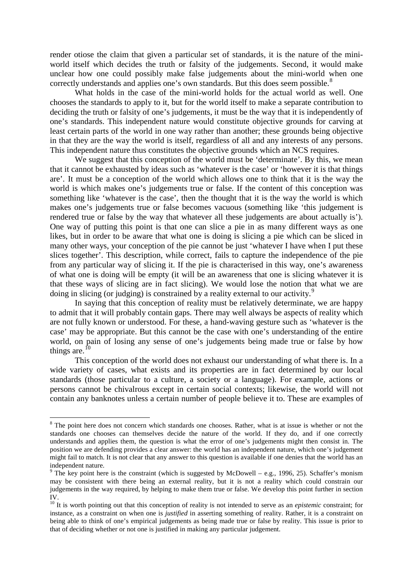render otiose the claim that given a particular set of standards, it is the nature of the miniworld itself which decides the truth or falsity of the judgements. Second, it would make unclear how one could possibly make false judgements about the mini-world when one correctly understands and applies one's own standards. But this does seem possible.<sup>[8](#page-5-0)</sup>

What holds in the case of the mini-world holds for the actual world as well. One chooses the standards to apply to it, but for the world itself to make a separate contribution to deciding the truth or falsity of one's judgements, it must be the way that it is independently of one's standards. This independent nature would constitute objective grounds for carving at least certain parts of the world in one way rather than another; these grounds being objective in that they are the way the world is itself, regardless of all and any interests of any persons. This independent nature thus constitutes the objective grounds which an NCS requires.

We suggest that this conception of the world must be 'determinate'. By this, we mean that it cannot be exhausted by ideas such as 'whatever is the case' or 'however it is that things are'. It must be a conception of the world which allows one to think that it is the way the world is which makes one's judgements true or false. If the content of this conception was something like 'whatever is the case', then the thought that it is the way the world is which makes one's judgements true or false becomes vacuous (something like 'this judgement is rendered true or false by the way that whatever all these judgements are about actually is'). One way of putting this point is that one can slice a pie in as many different ways as one likes, but in order to be aware that what one is doing is slicing a pie which can be sliced in many other ways, your conception of the pie cannot be just 'whatever I have when I put these slices together'. This description, while correct, fails to capture the independence of the pie from any particular way of slicing it. If the pie is characterised in this way, one's awareness of what one is doing will be empty (it will be an awareness that one is slicing whatever it is that these ways of slicing are in fact slicing). We would lose the notion that what we are doing in slicing (or judging) is constrained by a reality external to our activity.<sup>[9](#page-5-1)</sup>

In saying that this conception of reality must be relatively determinate, we are happy to admit that it will probably contain gaps. There may well always be aspects of reality which are not fully known or understood. For these, a hand-waving gesture such as 'whatever is the case' may be appropriate. But this cannot be the case with one's understanding of the entire world, on pain of losing any sense of one's judgements being made true or false by how things are. $<sup>1</sup>$ </sup>

This conception of the world does not exhaust our understanding of what there is. In a wide variety of cases, what exists and its properties are in fact determined by our local standards (those particular to a culture, a society or a language). For example, actions or persons cannot be chivalrous except in certain social contexts; likewise, the world will not contain any banknotes unless a certain number of people believe it to. These are examples of

<span id="page-5-0"></span><sup>&</sup>lt;sup>8</sup> The point here does not concern which standards one chooses. Rather, what is at issue is whether or not the standards one chooses can themselves decide the nature of the world. If they do, and if one correctly understands and applies them, the question is what the error of one's judgements might then consist in. The position we are defending provides a clear answer: the world has an independent nature, which one's judgement might fail to match. It is not clear that any answer to this question is available if one denies that the world has an

<span id="page-5-1"></span><sup>&</sup>lt;sup>9</sup> The key point here is the constraint (which is suggested by McDowell – e.g., 1996, 25). Schaffer's monism may be consistent with there being an external reality, but it is not a reality which could constrain our judgements in the way required, by helping to make them true or false. We develop this point further in section IV.

<span id="page-5-2"></span><sup>&</sup>lt;sup>10</sup> It is worth pointing out that this conception of reality is not intended to serve as an *epistemic* constraint; for instance, as a constraint on when one is *justified* in asserting something of reality. Rather, it is a constraint on being able to think of one's empirical judgements as being made true or false by reality. This issue is prior to that of deciding whether or not one is justified in making any particular judgement.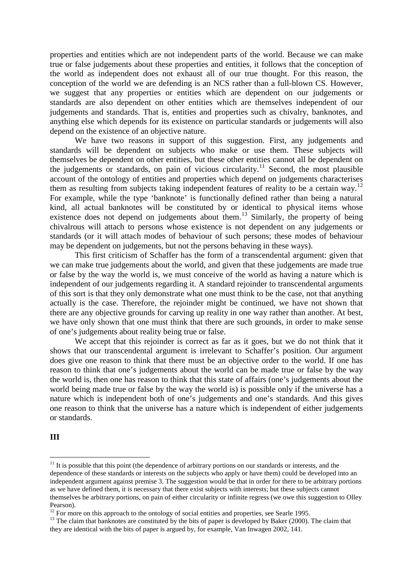properties and entities which are not independent parts of the world. Because we can make true or false judgements about these properties and entities, it follows that the conception of the world as independent does not exhaust all of our true thought. For this reason, the conception of the world we are defending is an NCS rather than a full-blown CS. However, we suggest that any properties or entities which are dependent on our judgements or standards are also dependent on other entities which are themselves independent of our judgements and standards. That is, entities and properties such as chivalry, banknotes, and anything else which depends for its existence on particular standards or judgements will also depend on the existence of an objective nature.

We have two reasons in support of this suggestion. First, any judgements and standards will be dependent on subjects who make or use them. These subjects will themselves be dependent on other entities, but these other entities cannot all be dependent on the judgements or standards, on pain of vicious circularity.<sup>[11](#page-6-0)</sup> Second, the most plausible account of the ontology of entities and properties which depend on judgements characterises them as resulting from subjects taking independent features of reality to be a certain way.<sup>[12](#page-6-1)</sup> For example, while the type 'banknote' is functionally defined rather than being a natural kind, all actual banknotes will be constituted by or identical to physical items whose existence does not depend on judgements about them.<sup>[13](#page-6-2)</sup> Similarly, the property of being chivalrous will attach to persons whose existence is not dependent on any judgements or standards (or it will attach modes of behaviour of such persons; these modes of behaviour may be dependent on judgements, but not the persons behaving in these ways).

This first criticism of Schaffer has the form of a transcendental argument: given that we can make true judgements about the world, and given that these judgements are made true or false by the way the world is, we must conceive of the world as having a nature which is independent of our judgements regarding it. A standard rejoinder to transcendental arguments of this sort is that they only demonstrate what one must think to be the case, not that anything actually is the case. Therefore, the rejoinder might be continued, we have not shown that there are any objective grounds for carving up reality in one way rather than another. At best, we have only shown that one must think that there are such grounds, in order to make sense of one's judgements about reality being true or false.

We accept that this rejoinder is correct as far as it goes, but we do not think that it shows that our transcendental argument is irrelevant to Schaffer's position. Our argument does give one reason to think that there must be an objective order to the world. If one has reason to think that one's judgements about the world can be made true or false by the way the world is, then one has reason to think that this state of affairs (one's judgements about the world being made true or false by the way the world is) is possible only if the universe has a nature which is independent both of one's judgements and one's standards. And this gives one reason to think that the universe has a nature which is independent of either judgements or standards.

## **III**

<span id="page-6-0"></span> $11$  It is possible that this point (the dependence of arbitrary portions on our standards or interests, and the dependence of these standards or interests on the subjects who apply or have them) could be developed into an independent argument against premise 3. The suggestion would be that in order for there to be arbitrary portions as we have defined them, it is necessary that there exist subjects with interests; but these subjects cannot themselves be arbitrary portions, on pain of either circularity or infinite regress (we owe this suggestion to Olley Pearson).<br><sup>12</sup> For more on this approach to the ontology of social entities and properties, see Searle 1995.

<span id="page-6-2"></span><span id="page-6-1"></span> $13$  The claim that banknotes are constituted by the bits of paper is developed by Baker (2000). The claim that they are identical with the bits of paper is argued by, for example, Van Inwagen 2002, 141.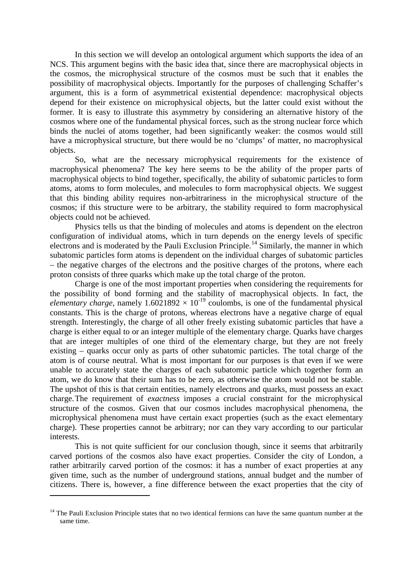In this section we will develop an ontological argument which supports the idea of an NCS. This argument begins with the basic idea that, since there are macrophysical objects in the cosmos, the microphysical structure of the cosmos must be such that it enables the possibility of macrophysical objects. Importantly for the purposes of challenging Schaffer's argument, this is a form of asymmetrical existential dependence: macrophysical objects depend for their existence on microphysical objects, but the latter could exist without the former. It is easy to illustrate this asymmetry by considering an alternative history of the cosmos where one of the fundamental physical forces, such as the strong nuclear force which binds the nuclei of atoms together, had been significantly weaker: the cosmos would still have a microphysical structure, but there would be no 'clumps' of matter, no macrophysical objects.

So, what are the necessary microphysical requirements for the existence of macrophysical phenomena? The key here seems to be the ability of the proper parts of macrophysical objects to bind together, specifically, the ability of subatomic particles to form atoms, atoms to form molecules, and molecules to form macrophysical objects. We suggest that this binding ability requires non-arbitrariness in the microphysical structure of the cosmos; if this structure were to be arbitrary, the stability required to form macrophysical objects could not be achieved.

Physics tells us that the binding of molecules and atoms is dependent on the electron configuration of individual atoms, which in turn depends on the energy levels of specific electrons and is moderated by the Pauli Exclusion Principle.<sup>[14](#page-7-0)</sup> Similarly, the manner in which subatomic particles form atoms is dependent on the individual charges of subatomic particles – the negative charges of the electrons and the positive charges of the protons, where each proton consists of three quarks which make up the total charge of the proton.

Charge is one of the most important properties when considering the requirements for the possibility of bond forming and the stability of macrophysical objects. In fact, the *elementary charge*, namely  $1.6021892 \times 10^{-19}$  coulombs, is one of the fundamental physical constants. This is the charge of protons, whereas electrons have a negative charge of equal strength. Interestingly, the charge of all other freely existing subatomic particles that have a charge is either equal to or an integer multiple of the elementary charge. Quarks have charges that are integer multiples of one third of the elementary charge, but they are not freely existing – quarks occur only as parts of other subatomic particles. The total charge of the atom is of course neutral. What is most important for our purposes is that even if we were unable to accurately state the charges of each subatomic particle which together form an atom, we do know that their sum has to be zero, as otherwise the atom would not be stable. The upshot of this is that certain entities, namely electrons and quarks, must possess an exact charge.The requirement of *exactness* imposes a crucial constraint for the microphysical structure of the cosmos. Given that our cosmos includes macrophysical phenomena, the microphysical phenomena must have certain exact properties (such as the exact elementary charge). These properties cannot be arbitrary; nor can they vary according to our particular interests.

This is not quite sufficient for our conclusion though, since it seems that arbitrarily carved portions of the cosmos also have exact properties. Consider the city of London, a rather arbitrarily carved portion of the cosmos: it has a number of exact properties at any given time, such as the number of underground stations, annual budget and the number of citizens. There is, however, a fine difference between the exact properties that the city of

-

<span id="page-7-0"></span><sup>&</sup>lt;sup>14</sup> The Pauli Exclusion Principle states that no two identical fermions can have the same quantum number at the same time.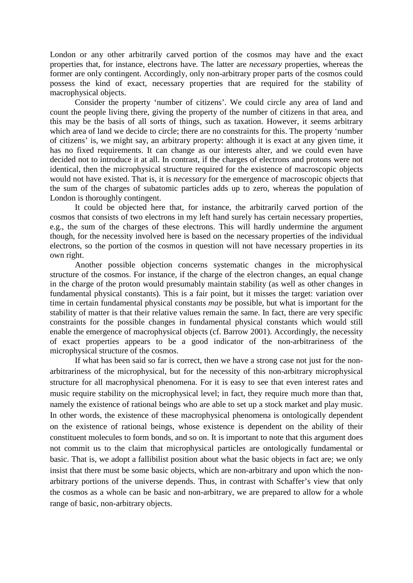London or any other arbitrarily carved portion of the cosmos may have and the exact properties that, for instance, electrons have. The latter are *necessary* properties, whereas the former are only contingent. Accordingly, only non-arbitrary proper parts of the cosmos could possess the kind of exact, necessary properties that are required for the stability of macrophysical objects.

Consider the property 'number of citizens'. We could circle any area of land and count the people living there, giving the property of the number of citizens in that area, and this may be the basis of all sorts of things, such as taxation. However, it seems arbitrary which area of land we decide to circle; there are no constraints for this. The property 'number of citizens' is, we might say, an arbitrary property: although it is exact at any given time, it has no fixed requirements. It can change as our interests alter, and we could even have decided not to introduce it at all. In contrast, if the charges of electrons and protons were not identical, then the microphysical structure required for the existence of macroscopic objects would not have existed. That is, it is *necessary* for the emergence of macroscopic objects that the sum of the charges of subatomic particles adds up to zero, whereas the population of London is thoroughly contingent.

It could be objected here that, for instance, the arbitrarily carved portion of the cosmos that consists of two electrons in my left hand surely has certain necessary properties, e.g., the sum of the charges of these electrons. This will hardly undermine the argument though, for the necessity involved here is based on the necessary properties of the individual electrons, so the portion of the cosmos in question will not have necessary properties in its own right.

Another possible objection concerns systematic changes in the microphysical structure of the cosmos. For instance, if the charge of the electron changes, an equal change in the charge of the proton would presumably maintain stability (as well as other changes in fundamental physical constants). This is a fair point, but it misses the target: variation over time in certain fundamental physical constants *may* be possible, but what is important for the stability of matter is that their relative values remain the same. In fact, there are very specific constraints for the possible changes in fundamental physical constants which would still enable the emergence of macrophysical objects (cf. Barrow 2001). Accordingly, the necessity of exact properties appears to be a good indicator of the non-arbitrariness of the microphysical structure of the cosmos.

If what has been said so far is correct, then we have a strong case not just for the nonarbitrariness of the microphysical, but for the necessity of this non-arbitrary microphysical structure for all macrophysical phenomena. For it is easy to see that even interest rates and music require stability on the microphysical level; in fact, they require much more than that, namely the existence of rational beings who are able to set up a stock market and play music. In other words, the existence of these macrophysical phenomena is ontologically dependent on the existence of rational beings, whose existence is dependent on the ability of their constituent molecules to form bonds, and so on. It is important to note that this argument does not commit us to the claim that microphysical particles are ontologically fundamental or basic. That is, we adopt a fallibilist position about what the basic objects in fact are; we only insist that there must be some basic objects, which are non-arbitrary and upon which the nonarbitrary portions of the universe depends. Thus, in contrast with Schaffer's view that only the cosmos as a whole can be basic and non-arbitrary, we are prepared to allow for a whole range of basic, non-arbitrary objects.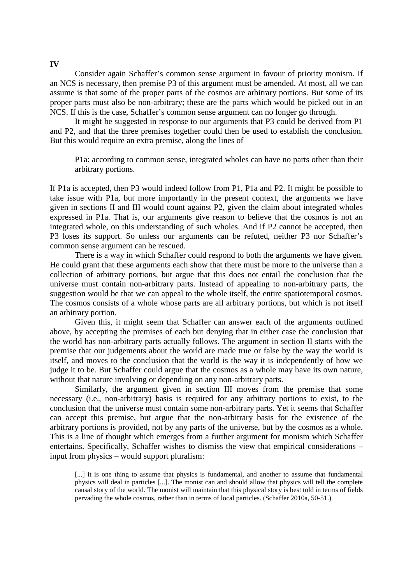### **IV**

Consider again Schaffer's common sense argument in favour of priority monism. If an NCS is necessary, then premise P3 of this argument must be amended. At most, all we can assume is that some of the proper parts of the cosmos are arbitrary portions. But some of its proper parts must also be non-arbitrary; these are the parts which would be picked out in an NCS. If this is the case, Schaffer's common sense argument can no longer go through.

It might be suggested in response to our arguments that P3 could be derived from P1 and P2, and that the three premises together could then be used to establish the conclusion. But this would require an extra premise, along the lines of

P1a: according to common sense, integrated wholes can have no parts other than their arbitrary portions.

If P1a is accepted, then P3 would indeed follow from P1, P1a and P2. It might be possible to take issue with P1a, but more importantly in the present context, the arguments we have given in sections II and III would count against P2, given the claim about integrated wholes expressed in P1a. That is, our arguments give reason to believe that the cosmos is not an integrated whole, on this understanding of such wholes. And if P2 cannot be accepted, then P3 loses its support. So unless our arguments can be refuted, neither P3 nor Schaffer's common sense argument can be rescued.

There is a way in which Schaffer could respond to both the arguments we have given. He could grant that these arguments each show that there must be more to the universe than a collection of arbitrary portions, but argue that this does not entail the conclusion that the universe must contain non-arbitrary parts. Instead of appealing to non-arbitrary parts, the suggestion would be that we can appeal to the whole itself, the entire spatiotemporal cosmos. The cosmos consists of a whole whose parts are all arbitrary portions, but which is not itself an arbitrary portion.

Given this, it might seem that Schaffer can answer each of the arguments outlined above, by accepting the premises of each but denying that in either case the conclusion that the world has non-arbitrary parts actually follows. The argument in section II starts with the premise that our judgements about the world are made true or false by the way the world is itself, and moves to the conclusion that the world is the way it is independently of how we judge it to be. But Schaffer could argue that the cosmos as a whole may have its own nature, without that nature involving or depending on any non-arbitrary parts.

Similarly, the argument given in section III moves from the premise that some necessary (i.e., non-arbitrary) basis is required for any arbitrary portions to exist, to the conclusion that the universe must contain some non-arbitrary parts. Yet it seems that Schaffer can accept this premise, but argue that the non-arbitrary basis for the existence of the arbitrary portions is provided, not by any parts of the universe, but by the cosmos as a whole. This is a line of thought which emerges from a further argument for monism which Schaffer entertains. Specifically, Schaffer wishes to dismiss the view that empirical considerations – input from physics – would support pluralism:

[...] it is one thing to assume that physics is fundamental, and another to assume that fundamental physics will deal in particles [...]. The monist can and should allow that physics will tell the complete causal story of the world. The monist will maintain that this physical story is best told in terms of fields pervading the whole cosmos, rather than in terms of local particles. (Schaffer 2010a, 50-51.)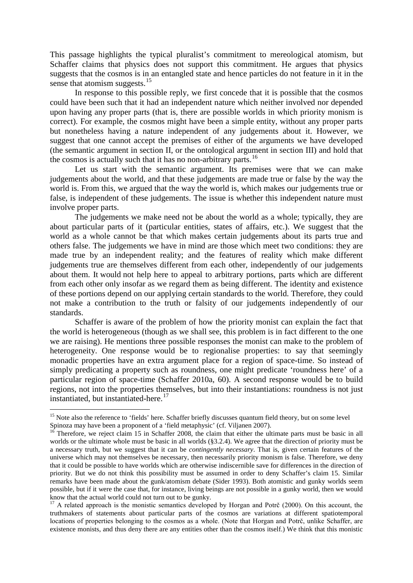This passage highlights the typical pluralist's commitment to mereological atomism, but Schaffer claims that physics does not support this commitment. He argues that physics suggests that the cosmos is in an entangled state and hence particles do not feature in it in the sense that atomism suggests.<sup>[15](#page-10-0)</sup>

In response to this possible reply, we first concede that it is possible that the cosmos could have been such that it had an independent nature which neither involved nor depended upon having any proper parts (that is, there are possible worlds in which priority monism is correct). For example, the cosmos might have been a simple entity, without any proper parts but nonetheless having a nature independent of any judgements about it. However, we suggest that one cannot accept the premises of either of the arguments we have developed (the semantic argument in section II, or the ontological argument in section III) and hold that the cosmos is actually such that it has no non-arbitrary parts.<sup>[16](#page-10-1)</sup>

Let us start with the semantic argument. Its premises were that we can make judgements about the world, and that these judgements are made true or false by the way the world is. From this, we argued that the way the world is, which makes our judgements true or false, is independent of these judgements. The issue is whether this independent nature must involve proper parts.

The judgements we make need not be about the world as a whole; typically, they are about particular parts of it (particular entities, states of affairs, etc.). We suggest that the world as a whole cannot be that which makes certain judgements about its parts true and others false. The judgements we have in mind are those which meet two conditions: they are made true by an independent reality; and the features of reality which make different judgements true are themselves different from each other, independently of our judgements about them. It would not help here to appeal to arbitrary portions, parts which are different from each other only insofar as we regard them as being different. The identity and existence of these portions depend on our applying certain standards to the world. Therefore, they could not make a contribution to the truth or falsity of our judgements independently of our standards.

Schaffer is aware of the problem of how the priority monist can explain the fact that the world is heterogeneous (though as we shall see, this problem is in fact different to the one we are raising). He mentions three possible responses the monist can make to the problem of heterogeneity. One response would be to regionalise properties: to say that seemingly monadic properties have an extra argument place for a region of space-time. So instead of simply predicating a property such as roundness, one might predicate 'roundness here' of a particular region of space-time (Schaffer 2010a, 60). A second response would be to build regions, not into the properties themselves, but into their instantiations: roundness is not just instantiated, but instantiated-here.<sup>[17](#page-10-2)</sup>

<span id="page-10-0"></span><sup>&</sup>lt;sup>15</sup> Note also the reference to 'fields' here. Schaffer briefly discusses quantum field theory, but on some level Spinoza may have been a proponent of a 'field metaphysic' (cf. Viljanen 2007).<br><sup>16</sup> Therefore, we reject claim 15 in Schaffer 2008, the claim that either the ultimate parts must be basic in all

<span id="page-10-1"></span>worlds or the ultimate whole must be basic in all worlds (§3.2.4). We agree that the direction of priority must be a necessary truth, but we suggest that it can be *contingently necessary*. That is, given certain features of the universe which may not themselves be necessary, then necessarily priority monism is false. Therefore, we deny that it could be possible to have worlds which are otherwise indiscernible save for differences in the direction of priority. But we do not think this possibility must be assumed in order to deny Schaffer's claim 15. Similar remarks have been made about the gunk/atomism debate (Sider 1993). Both atomistic and gunky worlds seem possible, but if it were the case that, for instance, living beings are not possible in a gunky world, then we would

<span id="page-10-2"></span><sup>&</sup>lt;sup>17</sup> A related approach is the monistic semantics developed by Horgan and Potrč (2000). On this account, the truthmakers of statements about particular parts of the cosmos are variations at different spatiotemporal locations of properties belonging to the cosmos as a whole. (Note that Horgan and Potrč, unlike Schaffer, are existence monists, and thus deny there are any entities other than the cosmos itself.) We think that this monistic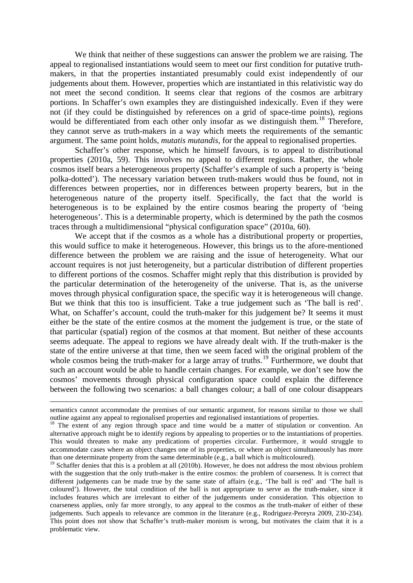We think that neither of these suggestions can answer the problem we are raising. The appeal to regionalised instantiations would seem to meet our first condition for putative truthmakers, in that the properties instantiated presumably could exist independently of our judgements about them. However, properties which are instantiated in this relativistic way do not meet the second condition. It seems clear that regions of the cosmos are arbitrary portions. In Schaffer's own examples they are distinguished indexically. Even if they were not (if they could be distinguished by references on a grid of space-time points), regions would be differentiated from each other only insofar as we distinguish them.<sup>[18](#page-11-0)</sup> Therefore, they cannot serve as truth-makers in a way which meets the requirements of the semantic argument. The same point holds, *mutatis mutandis*, for the appeal to regionalised properties.

Schaffer's other response, which he himself favours, is to appeal to distributional properties (2010a, 59). This involves no appeal to different regions. Rather, the whole cosmos itself bears a heterogeneous property (Schaffer's example of such a property is 'being polka-dotted'). The necessary variation between truth-makers would thus be found, not in differences between properties, nor in differences between property bearers, but in the heterogeneous nature of the property itself. Specifically, the fact that the world is heterogeneous is to be explained by the entire cosmos bearing the property of 'being heterogeneous'. This is a determinable property, which is determined by the path the cosmos traces through a multidimensional "physical configuration space" (2010a, 60).

We accept that if the cosmos as a whole has a distributional property or properties, this would suffice to make it heterogeneous. However, this brings us to the afore-mentioned difference between the problem we are raising and the issue of heterogeneity. What our account requires is not just heterogeneity, but a particular distribution of different properties to different portions of the cosmos. Schaffer might reply that this distribution is provided by the particular determination of the heterogeneity of the universe. That is, as the universe moves through physical configuration space, the specific way it is heterogeneous will change. But we think that this too is insufficient. Take a true judgement such as 'The ball is red'. What, on Schaffer's account, could the truth-maker for this judgement be? It seems it must either be the state of the entire cosmos at the moment the judgement is true, or the state of that particular (spatial) region of the cosmos at that moment. But neither of these accounts seems adequate. The appeal to regions we have already dealt with. If the truth-maker is the state of the entire universe at that time, then we seem faced with the original problem of the whole cosmos being the truth-maker for a large array of truths.<sup>[19](#page-11-1)</sup> Furthermore, we doubt that such an account would be able to handle certain changes. For example, we don't see how the cosmos' movements through physical configuration space could explain the difference between the following two scenarios: a ball changes colour; a ball of one colour disappears

<u>.</u>

semantics cannot accommodate the premises of our semantic argument, for reasons similar to those we shall outline against any appeal to regionalised properties and regionalised instantiations of properties.

<span id="page-11-0"></span><sup>&</sup>lt;sup>18</sup> The extent of any region through space and time would be a matter of stipulation or convention. An alternative approach might be to identify regions by appealing to properties or to the instantiations of properties. This would threaten to make any predications of properties circular. Furthermore, it would struggle to accommodate cases where an object changes one of its properties, or where an object simultaneously has more than one determinate property from the same determinable (e.g., a ball which is multicoloured).

<span id="page-11-1"></span><sup>&</sup>lt;sup>19</sup> Schaffer denies that this is a problem at all (2010b). However, he does not address the most obvious problem with the suggestion that the only truth-maker is the entire cosmos: the problem of coarseness. It is correct that different judgements can be made true by the same state of affairs (e.g., 'The ball is red' and 'The ball is coloured'). However, the total condition of the ball is not appropriate to serve as the truth-maker, since it includes features which are irrelevant to either of the judgements under consideration. This objection to coarseness applies, only far more strongly, to any appeal to the cosmos as the truth-maker of either of these judgements. Such appeals to relevance are common in the literature (e.g., Rodriguez-Pereyra 2009, 230-234). This point does not show that Schaffer's truth-maker monism is wrong, but motivates the claim that it is a problematic view.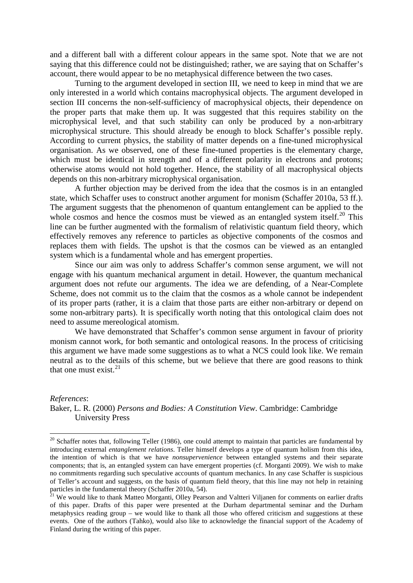and a different ball with a different colour appears in the same spot. Note that we are not saying that this difference could not be distinguished; rather, we are saying that on Schaffer's account, there would appear to be no metaphysical difference between the two cases.

Turning to the argument developed in section III, we need to keep in mind that we are only interested in a world which contains macrophysical objects. The argument developed in section III concerns the non-self-sufficiency of macrophysical objects, their dependence on the proper parts that make them up. It was suggested that this requires stability on the microphysical level, and that such stability can only be produced by a non-arbitrary microphysical structure. This should already be enough to block Schaffer's possible reply. According to current physics, the stability of matter depends on a fine-tuned microphysical organisation. As we observed, one of these fine-tuned properties is the elementary charge, which must be identical in strength and of a different polarity in electrons and protons; otherwise atoms would not hold together. Hence, the stability of all macrophysical objects depends on this non-arbitrary microphysical organisation.

A further objection may be derived from the idea that the cosmos is in an entangled state, which Schaffer uses to construct another argument for monism (Schaffer 2010a, 53 ff.). The argument suggests that the phenomenon of quantum entanglement can be applied to the whole cosmos and hence the cosmos must be viewed as an entangled system itself.<sup>[20](#page-12-0)</sup> This line can be further augmented with the formalism of relativistic quantum field theory, which effectively removes any reference to particles as objective components of the cosmos and replaces them with fields. The upshot is that the cosmos can be viewed as an entangled system which is a fundamental whole and has emergent properties.

Since our aim was only to address Schaffer's common sense argument, we will not engage with his quantum mechanical argument in detail. However, the quantum mechanical argument does not refute our arguments. The idea we are defending, of a Near-Complete Scheme, does not commit us to the claim that the cosmos as a whole cannot be independent of its proper parts (rather, it is a claim that those parts are either non-arbitrary or depend on some non-arbitrary parts). It is specifically worth noting that this ontological claim does not need to assume mereological atomism.

We have demonstrated that Schaffer's common sense argument in favour of priority monism cannot work, for both semantic and ontological reasons. In the process of criticising this argument we have made some suggestions as to what a NCS could look like. We remain neutral as to the details of this scheme, but we believe that there are good reasons to think that one must exist.  $21$ 

## *References*:

Baker, L. R. (2000) *Persons and Bodies: A Constitution View*. Cambridge: Cambridge University Press

<span id="page-12-0"></span> $20$  Schaffer notes that, following Teller (1986), one could attempt to maintain that particles are fundamental by introducing external *entanglement relations*. Teller himself develops a type of quantum holism from this idea, the intention of which is that we have *nonsupervenience* between entangled systems and their separate components; that is, an entangled system can have emergent properties (cf. Morganti 2009). We wish to make no commitments regarding such speculative accounts of quantum mechanics. In any case Schaffer is suspicious of Teller's account and suggests, on the basis of quantum field theory, that this line may not help in retaining particles in the fundamental theory (Schaffer 2010a, 54).<br><sup>21</sup> We would like to thank Matteo Morganti, Olley Pearson and Valtteri Viljanen for comments on earlier drafts

<span id="page-12-1"></span>of this paper. Drafts of this paper were presented at the Durham departmental seminar and the Durham metaphysics reading group – we would like to thank all those who offered criticism and suggestions at these events. One of the authors (Tahko), would also like to acknowledge the financial support of the Academy of Finland during the writing of this paper.